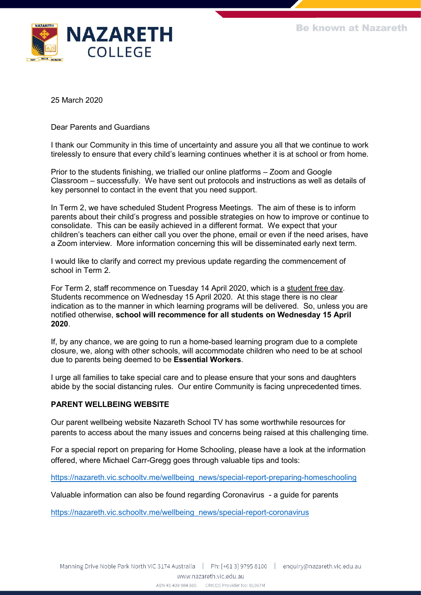

25 March 2020

Dear Parents and Guardians

I thank our Community in this time of uncertainty and assure you all that we continue to work tirelessly to ensure that every child's learning continues whether it is at school or from home.

Prior to the students finishing, we trialled our online platforms – Zoom and Google Classroom – successfully. We have sent out protocols and instructions as well as details of key personnel to contact in the event that you need support.

In Term 2, we have scheduled Student Progress Meetings. The aim of these is to inform parents about their child's progress and possible strategies on how to improve or continue to consolidate. This can be easily achieved in a different format. We expect that your children's teachers can either call you over the phone, email or even if the need arises, have a Zoom interview. More information concerning this will be disseminated early next term.

I would like to clarify and correct my previous update regarding the commencement of school in Term 2.

For Term 2, staff recommence on Tuesday 14 April 2020, which is a student free day. Students recommence on Wednesday 15 April 2020. At this stage there is no clear indication as to the manner in which learning programs will be delivered. So, unless you are notified otherwise, **school will recommence for all students on Wednesday 15 April 2020**.

If, by any chance, we are going to run a home-based learning program due to a complete closure, we, along with other schools, will accommodate children who need to be at school due to parents being deemed to be **Essential Workers**.

I urge all families to take special care and to please ensure that your sons and daughters abide by the social distancing rules. Our entire Community is facing unprecedented times.

#### **PARENT WELLBEING WEBSITE**

Our parent wellbeing website Nazareth School TV has some worthwhile resources for parents to access about the many issues and concerns being raised at this challenging time.

For a special report on preparing for Home Schooling, please have a look at the information offered, where Michael Carr-Gregg goes through valuable tips and tools:

[https://nazareth.vic.schooltv.me/wellbeing\\_news/special-report-preparing-homeschooling](https://nazareth.vic.schooltv.me/wellbeing_news/special-report-preparing-homeschooling)

Valuable information can also be found regarding Coronavirus - a guide for parents

[https://nazareth.vic.schooltv.me/wellbeing\\_news/special-report-coronavirus](https://nazareth.vic.schooltv.me/wellbeing_news/special-report-coronavirus)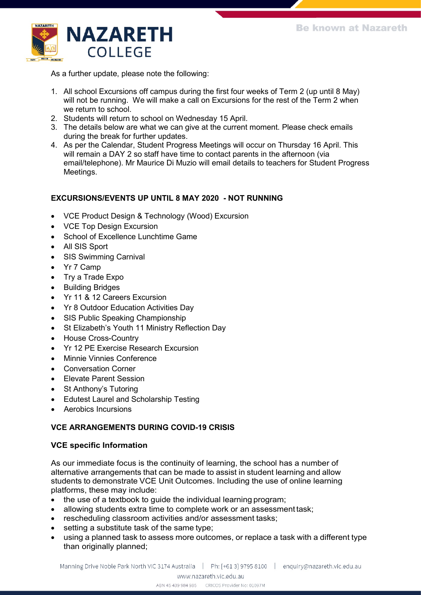

As a further update, please note the following:

- 1. All school Excursions off campus during the first four weeks of Term 2 (up until 8 May) will not be running. We will make a call on Excursions for the rest of the Term 2 when we return to school.
- 2. Students will return to school on Wednesday 15 April.
- 3. The details below are what we can give at the current moment. Please check emails during the break for further updates.
- 4. As per the Calendar, Student Progress Meetings will occur on Thursday 16 April. This will remain a DAY 2 so staff have time to contact parents in the afternoon (via email/telephone). Mr Maurice Di Muzio will email details to teachers for Student Progress Meetings.

# **EXCURSIONS/EVENTS UP UNTIL 8 MAY 2020 - NOT RUNNING**

- VCE Product Design & Technology (Wood) Excursion
- VCE Top Design Excursion
- School of Excellence Lunchtime Game
- All SIS Sport
- SIS Swimming Carnival
- Yr 7 Camp
- Try a Trade Expo
- Building Bridges
- Yr 11 & 12 Careers Excursion
- Yr 8 Outdoor Education Activities Day
- SIS Public Speaking Championship
- St Elizabeth's Youth 11 Ministry Reflection Day
- House Cross-Country
- Yr 12 PE Exercise Research Excursion
- Minnie Vinnies Conference
- Conversation Corner
- Elevate Parent Session
- St Anthony's Tutoring
- Edutest Laurel and Scholarship Testing
- Aerobics Incursions

# **VCE ARRANGEMENTS DURING COVID-19 CRISIS**

### **VCE specific Information**

As our immediate focus is the continuity of learning, the school has a number of alternative arrangements that can be made to assist in student learning and allow students to demonstrate VCE Unit Outcomes. Including the use of online learning platforms, these may include:

- the use of a textbook to quide the individual learning program;
- allowing students extra time to complete work or an assessment task;
- rescheduling classroom activities and/or assessment tasks;
- setting a substitute task of the same type;
- using a planned task to assess more outcomes, or replace a task with a different type than originally planned;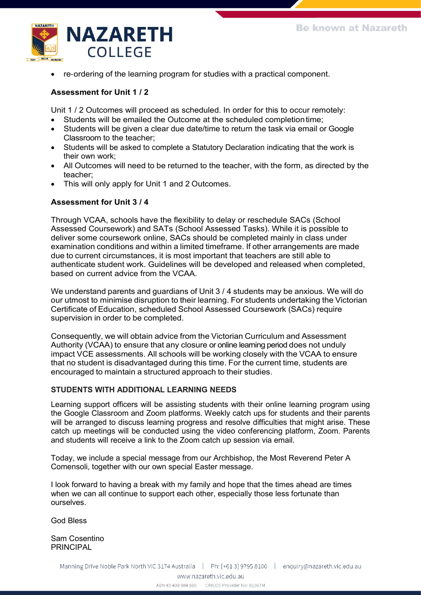

• re‐ordering of the learning program for studies with a practical component.

## **Assessment for Unit 1 / 2**

Unit 1 / 2 Outcomes will proceed as scheduled. In order for this to occur remotely:

- Students will be emailed the Outcome at the scheduled completiontime;
- Students will be given a clear due date/time to return the task via email or Google Classroom to the teacher;
- Students will be asked to complete a Statutory Declaration indicating that the work is their own work;
- All Outcomes will need to be returned to the teacher, with the form, as directed by the teacher;
- This will only apply for Unit 1 and 2 Outcomes.

### **Assessment for Unit 3 / 4**

Through VCAA, schools have the flexibility to delay or reschedule SACs (School Assessed Coursework) and SATs (School Assessed Tasks). While it is possible to deliver some coursework online, SACs should be completed mainly in class under examination conditions and within a limited timeframe. If other arrangements are made due to current circumstances, it is most important that teachers are still able to authenticate student work. Guidelines will be developed and released when completed, based on current advice from the VCAA.

We understand parents and guardians of Unit 3 / 4 students may be anxious. We will do our utmost to minimise disruption to their learning. For students undertaking the Victorian Certificate of Education, scheduled School Assessed Coursework (SACs) require supervision in order to be completed.

Consequently, we will obtain advice from the Victorian Curriculum and Assessment Authority (VCAA) to ensure that any closure or online learning period does not unduly impact VCE assessments. All schools will be working closely with the VCAA to ensure that no student is disadvantaged during this time. For the current time, students are encouraged to maintain a structured approach to their studies.

#### **STUDENTS WITH ADDITIONAL LEARNING NEEDS**

Learning support officers will be assisting students with their online learning program using the Google Classroom and Zoom platforms. Weekly catch ups for students and their parents will be arranged to discuss learning progress and resolve difficulties that might arise. These catch up meetings will be conducted using the video conferencing platform, Zoom. Parents and students will receive a link to the Zoom catch up session via email.

Today, we include a special message from our Archbishop, the Most Reverend Peter A Comensoli, together with our own special Easter message.

I look forward to having a break with my family and hope that the times ahead are times when we can all continue to support each other, especially those less fortunate than ourselves.

God Bless

Sam Cosentino PRINCIPAL

Manning Drive Noble Park North VIC 3174 Australia | Ph: [+61 3] 9795 8100 | enquiry@nazareth.vic.edu.au

www.nazareth.vic.edu.au

ABN 45 439 984 985 CRICOS Provider No: 01097M